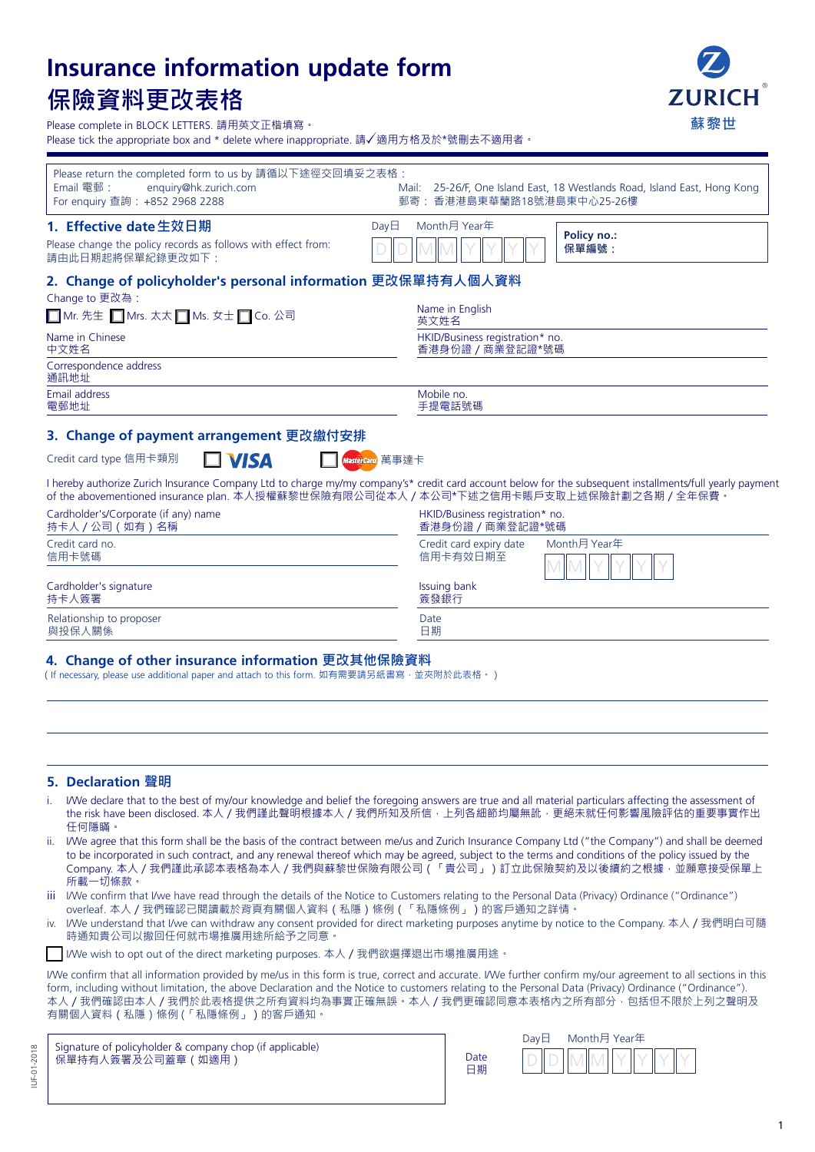# **Insurance information update form 保險資料更改表格**



Please complete in BLOCK LETTERS. 請用英文正楷填寫。

Please tick the appropriate box and \* delete where inappropriate. 請√適用方格及於\*號刪去不適用者。

| Please return the completed form to us by 請循以下途徑交回填妥之表格:<br>Email 電郵:<br>enquiry@hk.zurich.com<br>For enquiry 查詢: +852 2968 2288 | Mail: 25-26/F, One Island East, 18 Westlands Road, Island East, Hong Kong<br>郵寄:香港港島東華蘭路18號港島東中心25-26樓                                                   |
|----------------------------------------------------------------------------------------------------------------------------------|----------------------------------------------------------------------------------------------------------------------------------------------------------|
| 1. Effective date 生效日期<br>DayE                                                                                                   | Month月 Year年<br>Policy no.:                                                                                                                              |
| Please change the policy records as follows with effect from:<br>請由此日期起將保單紀錄更改如下:                                                | 保單編號:                                                                                                                                                    |
| 2. Change of policyholder's personal information 更改保單持有人個人資料<br>Change to 更改為:                                                   |                                                                                                                                                          |
| ■ Mr. 先生 ■ Mrs. 太太 ■ Ms. 女士 ■ Co. 公司                                                                                             | Name in English<br>英文姓名                                                                                                                                  |
| Name in Chinese<br>中文姓名                                                                                                          | HKID/Business registration* no.<br>香港身份證 / 商業登記證*號碼                                                                                                      |
| Correspondence address<br>通訊地址                                                                                                   |                                                                                                                                                          |
| Email address<br>電郵地址                                                                                                            | Mobile no.<br>手提電話號碼                                                                                                                                     |
| 3. Change of payment arrangement 更改繳付安排                                                                                          |                                                                                                                                                          |
| Credit card type 信用卡類別<br>$\square$ VISA<br>MasterCard 萬事達卡                                                                      |                                                                                                                                                          |
| of the abovementioned insurance plan. 本人授權蘇黎世保險有限公司從本人 / 本公司*下述之信用卡賬戶支取上述保險計劃之各期 / 全年保費 ·                                        | I hereby authorize Zurich Insurance Company Ltd to charge my/my company's* credit card account below for the subsequent installments/full yearly payment |
| Cardholder's/Corporate (if any) name<br>持卡人 / 公司 (如有) 名稱                                                                         | HKID/Business registration* no.<br>香港身份證 / 商業登記證*號碼                                                                                                      |
| Credit card no.<br>信用卡號碼                                                                                                         | Credit card expiry date<br>Month月 Year年<br>信用卡有效日期至                                                                                                      |
| Cardholder's signature<br>持卡人簽署                                                                                                  | Issuing bank<br>簽發銀行                                                                                                                                     |

## **4. Change of other insurance information 更改其他保險資料**

(If necessary, please use additional paper and attach to this form. 如有需要請另紙書寫,並夾附於此表格。)

#### **5. Declaration 聲明**

Relationship to proposer 與投保人關係

i. I/We declare that to the best of my/our knowledge and belief the foregoing answers are true and all material particulars affecting the assessment of the risk have been disclosed. 本人 / 我們謹此聲明根據本人 / 我們所知及所信,上列各細節均屬無訛,更絕未就任何影響風險評估的重要事實作出 任何隱瞞。

Date 日期

- ii. I/We agree that this form shall be the basis of the contract between me/us and Zurich Insurance Company Ltd ("the Company") and shall be deemed to be incorporated in such contract, and any renewal thereof which may be agreed, subject to the terms and conditions of the policy issued by the Company. 本人/我們謹此承認本表格為本人/我們與蘇黎世保險有限公司(「貴公司」)訂立此保險契約及以後續約之根據,並願意接受保單上 所載一切條款。
- iii I/We confirm that I/we have read through the details of the Notice to Customers relating to the Personal Data (Privacy) Ordinance ("Ordinance") overleaf. 本人/我們確認已閱讀載於背頁有關個人資料(私隱)條例(「私隱條例」)的客戶通知之詳情。
- iv. I/We understand that I/we can withdraw any consent provided for direct marketing purposes anytime by notice to the Company. 本人/我們明白可隨 時通知貴公司以撤回任何就市場推廣用途所給予之同意。
- I/We wish to opt out of the direct marketing purposes. 本人/我們欲選擇退出市場推廣用途。

I/We confirm that all information provided by me/us in this form is true, correct and accurate. I/We further confirm my/our agreement to all sections in this form, including without limitation, the above Declaration and the Notice to customers relating to the Personal Data (Privacy) Ordinance ("Ordinance"). 本人 / 我們確認由本人 / 我們於此表格提供之所有資料均為事實正確無誤。本人 / 我們更確認同意本表格內之所有部分,包括但不限於上列之聲明及 有關個人資料(私隱)條例 (「私隱條例」)的客戶通知。

|                    | Signature of policyholder & company chop (if applicable) |
|--------------------|----------------------------------------------------------|
| 保單持有人簽署及公司蓋章 (如適用) |                                                          |

| Date |  |
|------|--|
| 日期   |  |
|      |  |